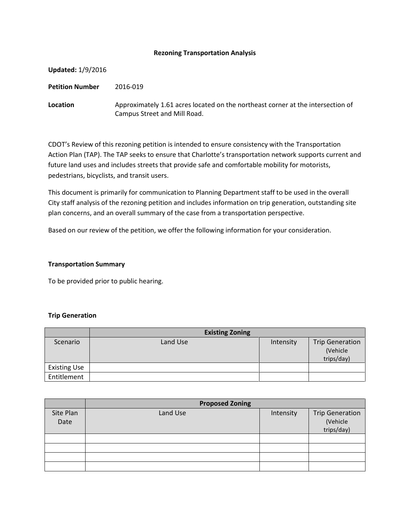#### **Rezoning Transportation Analysis**

| <b>Updated: 1/9/2016</b> |                                                                                                                 |
|--------------------------|-----------------------------------------------------------------------------------------------------------------|
| <b>Petition Number</b>   | 2016-019                                                                                                        |
| Location                 | Approximately 1.61 acres located on the northeast corner at the intersection of<br>Campus Street and Mill Road. |

CDOT's Review of this rezoning petition is intended to ensure consistency with the Transportation Action Plan (TAP). The TAP seeks to ensure that Charlotte's transportation network supports current and future land uses and includes streets that provide safe and comfortable mobility for motorists, pedestrians, bicyclists, and transit users.

This document is primarily for communication to Planning Department staff to be used in the overall City staff analysis of the rezoning petition and includes information on trip generation, outstanding site plan concerns, and an overall summary of the case from a transportation perspective.

Based on our review of the petition, we offer the following information for your consideration.

## **Transportation Summary**

To be provided prior to public hearing.

# **Trip Generation**

|                     | <b>Existing Zoning</b> |           |                                                  |
|---------------------|------------------------|-----------|--------------------------------------------------|
| Scenario            | Land Use               | Intensity | <b>Trip Generation</b><br>(Vehicle<br>trips/day) |
| <b>Existing Use</b> |                        |           |                                                  |
| Entitlement         |                        |           |                                                  |

|                   | <b>Proposed Zoning</b> |           |                                                  |  |
|-------------------|------------------------|-----------|--------------------------------------------------|--|
| Site Plan<br>Date | Land Use               | Intensity | <b>Trip Generation</b><br>(Vehicle<br>trips/day) |  |
|                   |                        |           |                                                  |  |
|                   |                        |           |                                                  |  |
|                   |                        |           |                                                  |  |
|                   |                        |           |                                                  |  |